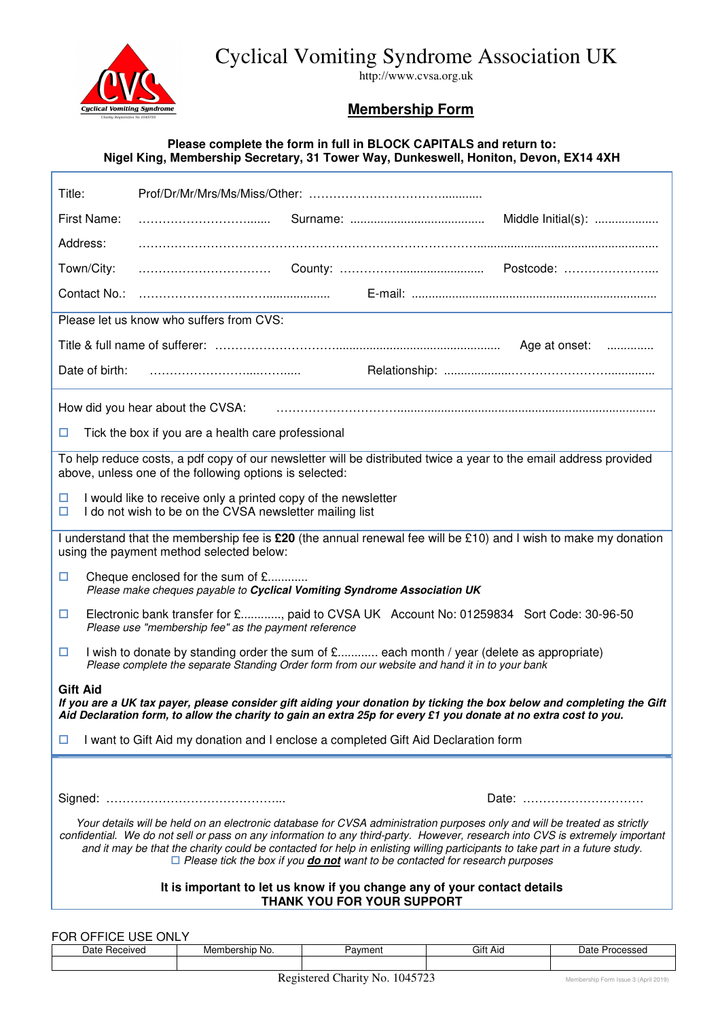Cyclical Vomiting Syndrome Association UK



http://www.cvsa.org.uk

## **Membership Form**

#### **Please complete the form in full in BLOCK CAPITALS and return to: Nigel King, Membership Secretary, 31 Tower Way, Dunkeswell, Honiton, Devon, EX14 4XH**

| Title:                                                                                                                                                                                                                                                                                                                                                                                                                                                                                   |                                                                                                                                                                                            |  |  |  |
|------------------------------------------------------------------------------------------------------------------------------------------------------------------------------------------------------------------------------------------------------------------------------------------------------------------------------------------------------------------------------------------------------------------------------------------------------------------------------------------|--------------------------------------------------------------------------------------------------------------------------------------------------------------------------------------------|--|--|--|
| First Name:                                                                                                                                                                                                                                                                                                                                                                                                                                                                              |                                                                                                                                                                                            |  |  |  |
| Address:                                                                                                                                                                                                                                                                                                                                                                                                                                                                                 |                                                                                                                                                                                            |  |  |  |
| Town/City:                                                                                                                                                                                                                                                                                                                                                                                                                                                                               |                                                                                                                                                                                            |  |  |  |
|                                                                                                                                                                                                                                                                                                                                                                                                                                                                                          |                                                                                                                                                                                            |  |  |  |
| Please let us know who suffers from CVS:                                                                                                                                                                                                                                                                                                                                                                                                                                                 |                                                                                                                                                                                            |  |  |  |
|                                                                                                                                                                                                                                                                                                                                                                                                                                                                                          |                                                                                                                                                                                            |  |  |  |
| Date of birth:                                                                                                                                                                                                                                                                                                                                                                                                                                                                           |                                                                                                                                                                                            |  |  |  |
| How did you hear about the CVSA:                                                                                                                                                                                                                                                                                                                                                                                                                                                         |                                                                                                                                                                                            |  |  |  |
| Tick the box if you are a health care professional<br>□                                                                                                                                                                                                                                                                                                                                                                                                                                  |                                                                                                                                                                                            |  |  |  |
| To help reduce costs, a pdf copy of our newsletter will be distributed twice a year to the email address provided<br>above, unless one of the following options is selected:                                                                                                                                                                                                                                                                                                             |                                                                                                                                                                                            |  |  |  |
| I would like to receive only a printed copy of the newsletter<br>□<br>I do not wish to be on the CVSA newsletter mailing list<br>$\Box$                                                                                                                                                                                                                                                                                                                                                  |                                                                                                                                                                                            |  |  |  |
| I understand that the membership fee is £20 (the annual renewal fee will be £10) and I wish to make my donation<br>using the payment method selected below:                                                                                                                                                                                                                                                                                                                              |                                                                                                                                                                                            |  |  |  |
| □                                                                                                                                                                                                                                                                                                                                                                                                                                                                                        | Cheque enclosed for the sum of £<br>Please make cheques payable to Cyclical Vomiting Syndrome Association UK                                                                               |  |  |  |
| □                                                                                                                                                                                                                                                                                                                                                                                                                                                                                        | Electronic bank transfer for £, paid to CVSA UK Account No: 01259834 Sort Code: 30-96-50<br>Please use "membership fee" as the payment reference                                           |  |  |  |
| □                                                                                                                                                                                                                                                                                                                                                                                                                                                                                        | I wish to donate by standing order the sum of £ each month / year (delete as appropriate)<br>Please complete the separate Standing Order form from our website and hand it in to your bank |  |  |  |
| <b>Gift Aid</b><br>If you are a UK tax payer, please consider gift aiding your donation by ticking the box below and completing the Gift                                                                                                                                                                                                                                                                                                                                                 |                                                                                                                                                                                            |  |  |  |
| Aid Declaration form, to allow the charity to gain an extra 25p for every £1 you donate at no extra cost to you.                                                                                                                                                                                                                                                                                                                                                                         |                                                                                                                                                                                            |  |  |  |
| ப                                                                                                                                                                                                                                                                                                                                                                                                                                                                                        | I want to Gift Aid my donation and I enclose a completed Gift Aid Declaration form                                                                                                         |  |  |  |
|                                                                                                                                                                                                                                                                                                                                                                                                                                                                                          |                                                                                                                                                                                            |  |  |  |
|                                                                                                                                                                                                                                                                                                                                                                                                                                                                                          | Date:                                                                                                                                                                                      |  |  |  |
| Your details will be held on an electronic database for CVSA administration purposes only and will be treated as strictly<br>confidential. We do not sell or pass on any information to any third-party. However, research into CVS is extremely important<br>and it may be that the charity could be contacted for help in enlisting willing participants to take part in a future study.<br>$\Box$ Please tick the box if you <b>do not</b> want to be contacted for research purposes |                                                                                                                                                                                            |  |  |  |
| It is important to let us know if you change any of your contact details<br>THANK YOU FOR YOUR SUPPORT                                                                                                                                                                                                                                                                                                                                                                                   |                                                                                                                                                                                            |  |  |  |

FOR OFFICE USE ONLY Membership No. | Payment | Gift Aid | Date Processed